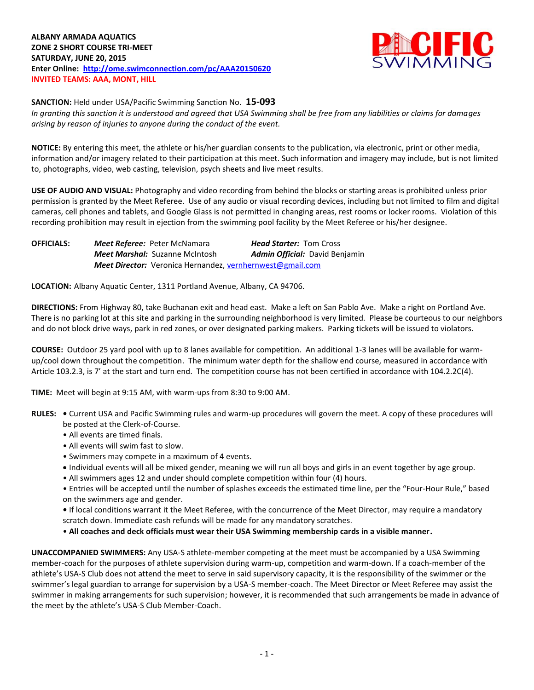## **ALBANY ARMADA AQUATICS ZONE 2 SHORT COURSE TRI-MEET SATURDAY, JUNE 20, 2015 Enter Online: <http://ome.swimconnection.com/pc/AAA20150620> INVITED TEAMS: AAA, MONT, HILL**



**SANCTION:** Held under USA/Pacific Swimming Sanction No. **15-093** *In granting this sanction it is understood and agreed that USA Swimming shall be free from any liabilities or claims for damages arising by reason of injuries to anyone during the conduct of the event.*

**NOTICE:** By entering this meet, the athlete or his/her guardian consents to the publication, via electronic, print or other media, information and/or imagery related to their participation at this meet. Such information and imagery may include, but is not limited to, photographs, video, web casting, television, psych sheets and live meet results.

**USE OF AUDIO AND VISUAL:** Photography and video recording from behind the blocks or starting areas is prohibited unless prior permission is granted by the Meet Referee. Use of any audio or visual recording devices, including but not limited to film and digital cameras, cell phones and tablets, and Google Glass is not permitted in changing areas, rest rooms or locker rooms. Violation of this recording prohibition may result in ejection from the swimming pool facility by the Meet Referee or his/her designee.

**OFFICIALS:** *Meet Referee:* Peter McNamara *Head Starter:* Tom Cross *Meet Marshal:* Suzanne McIntosh *Admin Official:* David Benjamin *Meet Director:* Veronica Hernandez, [vernhernwest@gmail.com](mailto:vernhernwest@gmail.com)

**LOCATION:** Albany Aquatic Center, 1311 Portland Avenue, Albany, CA 94706.

**DIRECTIONS:** From Highway 80, take Buchanan exit and head east. Make a left on San Pablo Ave. Make a right on Portland Ave. There is no parking lot at this site and parking in the surrounding neighborhood is very limited. Please be courteous to our neighbors and do not block drive ways, park in red zones, or over designated parking makers. Parking tickets will be issued to violators.

**COURSE:** Outdoor 25 yard pool with up to 8 lanes available for competition.An additional 1-3 lanes will be available for warmup/cool down throughout the competition. The minimum water depth for the shallow end course, measured in accordance with Article 103.2.3, is 7' at the start and turn end. The competition course has not been certified in accordance with 104.2.2C(4).

**TIME:** Meet will begin at 9:15 AM, with warm-ups from 8:30 to 9:00 AM.

- **RULES:** Current USA and Pacific Swimming rules and warm-up procedures will govern the meet. A copy of these procedures will be posted at the Clerk-of-Course.
	- All events are timed finals.
	- All events will swim fast to slow.
	- Swimmers may compete in a maximum of 4 events.
	- Individual events will all be mixed gender, meaning we will run all boys and girls in an event together by age group.
	- All swimmers ages 12 and under should complete competition within four (4) hours.
	- Entries will be accepted until the number of splashes exceeds the estimated time line, per the "Four-Hour Rule," based on the swimmers age and gender.
	- If local conditions warrant it the Meet Referee, with the concurrence of the Meet Director, may require a mandatory scratch down. Immediate cash refunds will be made for any mandatory scratches.
	- **All coaches and deck officials must wear their USA Swimming membership cards in a visible manner.**

**UNACCOMPANIED SWIMMERS:** Any USA-S athlete-member competing at the meet must be accompanied by a USA Swimming member-coach for the purposes of athlete supervision during warm-up, competition and warm-down. If a coach-member of the athlete's USA-S Club does not attend the meet to serve in said supervisory capacity, it is the responsibility of the swimmer or the swimmer's legal guardian to arrange for supervision by a USA-S member-coach. The Meet Director or Meet Referee may assist the swimmer in making arrangements for such supervision; however, it is recommended that such arrangements be made in advance of the meet by the athlete's USA-S Club Member-Coach.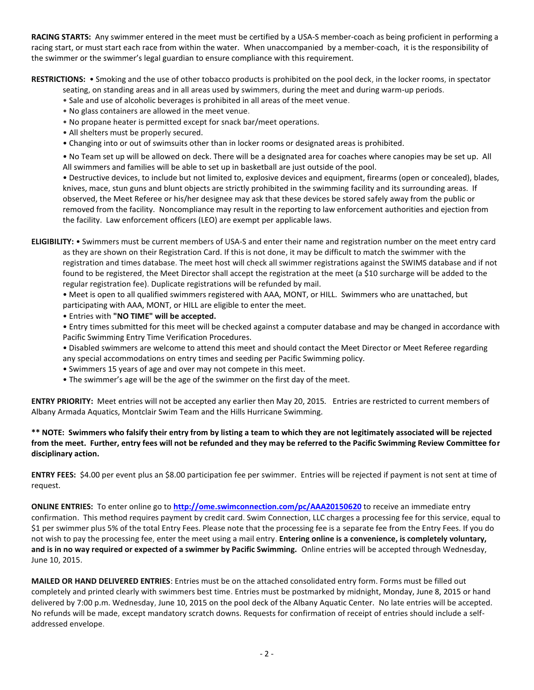**RACING STARTS:** Any swimmer entered in the meet must be certified by a USA-S member-coach as being proficient in performing a racing start, or must start each race from within the water. When unaccompanied by a member-coach, it is the responsibility of the swimmer or the swimmer's legal guardian to ensure compliance with this requirement.

**RESTRICTIONS:** • Smoking and the use of other tobacco products is prohibited on the pool deck, in the locker rooms, in spectator

- seating, on standing areas and in all areas used by swimmers, during the meet and during warm-up periods.
- Sale and use of alcoholic beverages is prohibited in all areas of the meet venue.
- No glass containers are allowed in the meet venue.
- No propane heater is permitted except for snack bar/meet operations.
- All shelters must be properly secured.
- Changing into or out of swimsuits other than in locker rooms or designated areas is prohibited.

• No Team set up will be allowed on deck. There will be a designated area for coaches where canopies may be set up. All All swimmers and families will be able to set up in basketball are just outside of the pool.

• Destructive devices, to include but not limited to, explosive devices and equipment, firearms (open or concealed), blades, knives, mace, stun guns and blunt objects are strictly prohibited in the swimming facility and its surrounding areas. If observed, the Meet Referee or his/her designee may ask that these devices be stored safely away from the public or removed from the facility. Noncompliance may result in the reporting to law enforcement authorities and ejection from the facility. Law enforcement officers (LEO) are exempt per applicable laws.

**ELIGIBILITY:** • Swimmers must be current members of USA-S and enter their name and registration number on the meet entry card as they are shown on their Registration Card. If this is not done, it may be difficult to match the swimmer with the registration and times database. The meet host will check all swimmer registrations against the SWIMS database and if not found to be registered, the Meet Director shall accept the registration at the meet (a \$10 surcharge will be added to the regular registration fee). Duplicate registrations will be refunded by mail.

• Meet is open to all qualified swimmers registered with AAA, MONT, or HILL. Swimmers who are unattached, but participating with AAA, MONT, or HILL are eligible to enter the meet.

- Entries with **"NO TIME" will be accepted.**
- Entry times submitted for this meet will be checked against a computer database and may be changed in accordance with Pacific Swimming Entry Time Verification Procedures.
- Disabled swimmers are welcome to attend this meet and should contact the Meet Director or Meet Referee regarding
- any special accommodations on entry times and seeding per Pacific Swimming policy.
- Swimmers 15 years of age and over may not compete in this meet.
- The swimmer's age will be the age of the swimmer on the first day of the meet.

**ENTRY PRIORITY:** Meet entries will not be accepted any earlier then May 20, 2015*.* Entries are restricted to current members of Albany Armada Aquatics, Montclair Swim Team and the Hills Hurricane Swimming.

**\*\* NOTE: Swimmers who falsify their entry from by listing a team to which they are not legitimately associated will be rejected from the meet. Further, entry fees will not be refunded and they may be referred to the Pacific Swimming Review Committee for disciplinary action.**

**ENTRY FEES:** \$4.00 per event plus an \$8.00 participation fee per swimmer. Entries will be rejected if payment is not sent at time of request.

**ONLINE ENTRIES:** To enter online go to **<http://ome.swimconnection.com/pc/AAA20150620>** to receive an immediate entry confirmation. This method requires payment by credit card. Swim Connection, LLC charges a processing fee for this service, equal to \$1 per swimmer plus 5% of the total Entry Fees. Please note that the processing fee is a separate fee from the Entry Fees. If you do not wish to pay the processing fee, enter the meet using a mail entry. **Entering online is a convenience, is completely voluntary, and is in no way required or expected of a swimmer by Pacific Swimming.** Online entries will be accepted through Wednesday, June 10, 2015.

**MAILED OR HAND DELIVERED ENTRIES**: Entries must be on the attached consolidated entry form. Forms must be filled out completely and printed clearly with swimmers best time. Entries must be postmarked by midnight, Monday, June 8, 2015 or hand delivered by 7:00 p.m. Wednesday, June 10, 2015 on the pool deck of the Albany Aquatic Center. No late entries will be accepted. No refunds will be made, except mandatory scratch downs. Requests for confirmation of receipt of entries should include a selfaddressed envelope.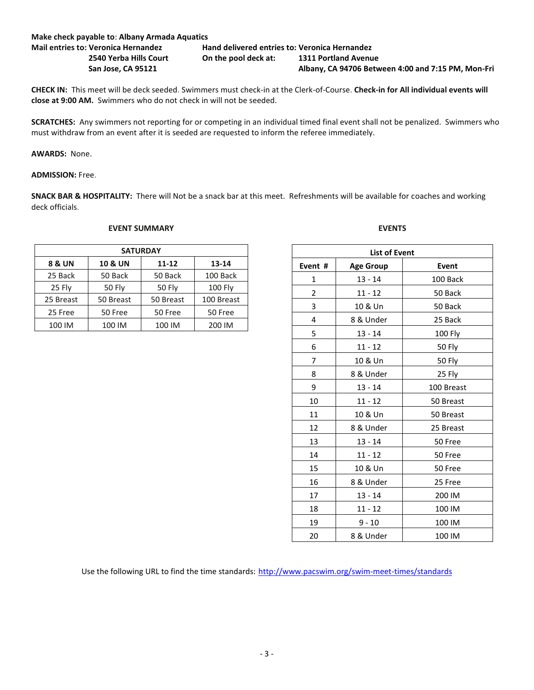| Make check payable to: Albany Armada Aquatics |                                               |                                                    |  |  |  |
|-----------------------------------------------|-----------------------------------------------|----------------------------------------------------|--|--|--|
| <b>Mail entries to: Veronica Hernandez</b>    | Hand delivered entries to: Veronica Hernandez |                                                    |  |  |  |
| 2540 Yerba Hills Court                        | On the pool deck at:                          | 1311 Portland Avenue                               |  |  |  |
| San Jose, CA 95121                            |                                               | Albany, CA 94706 Between 4:00 and 7:15 PM, Mon-Fri |  |  |  |

**CHECK IN:** This meet will be deck seeded. Swimmers must check-in at the Clerk-of-Course. **Check-in for All individual events will close at 9:00 AM.** Swimmers who do not check in will not be seeded.

**SCRATCHES:** Any swimmers not reporting for or competing in an individual timed final event shall not be penalized. Swimmers who must withdraw from an event after it is seeded are requested to inform the referee immediately.

**AWARDS:** None.

**ADMISSION:** Free.

**SNACK BAR & HOSPITALITY:** There will Not be a snack bar at this meet. Refreshments will be available for coaches and working deck officials.

## **SATURDAY 8 & UN 10 & UN 11-12 13-14** 25 Back | 50 Back | 50 Back | 100 Back 25 Fly | 50 Fly | 50 Fly | 100 Fly 25 Breast | 50 Breast | 50 Breast | 100 Breast 25 Free | 50 Free | 50 Free | 50 Free 100 IM 100 IM 100 IM 200 IM

## **EVENT SUMMARY**

| <b>List of Event</b> |                  |            |  |  |  |  |  |
|----------------------|------------------|------------|--|--|--|--|--|
| Event #              | <b>Age Group</b> | Event      |  |  |  |  |  |
| $\mathbf{1}$         | $13 - 14$        | 100 Back   |  |  |  |  |  |
| $\overline{2}$       | 11 - 12          | 50 Back    |  |  |  |  |  |
| 3                    | 10 & Un          | 50 Back    |  |  |  |  |  |
| 4                    | 8 & Under        | 25 Back    |  |  |  |  |  |
| 5                    | $13 - 14$        | 100 Fly    |  |  |  |  |  |
| 6                    | $11 - 12$        | 50 Fly     |  |  |  |  |  |
| 7                    | 10 & Un          | 50 Fly     |  |  |  |  |  |
| 8                    | 8 & Under        | 25 Fly     |  |  |  |  |  |
| 9                    | $13 - 14$        | 100 Breast |  |  |  |  |  |
| 10                   | $11 - 12$        | 50 Breast  |  |  |  |  |  |
| 11                   | 10 & Un          | 50 Breast  |  |  |  |  |  |
| 12                   | 8 & Under        | 25 Breast  |  |  |  |  |  |
| 13                   | $13 - 14$        | 50 Free    |  |  |  |  |  |
| 14                   | $11 - 12$        | 50 Free    |  |  |  |  |  |
| 15                   | 10 & Un          | 50 Free    |  |  |  |  |  |
| 16                   | 8 & Under        | 25 Free    |  |  |  |  |  |
| 17                   | $13 - 14$        | 200 IM     |  |  |  |  |  |
| 18                   | $11 - 12$        | 100 IM     |  |  |  |  |  |
| 19                   | 9 - 10           | 100 IM     |  |  |  |  |  |
| 20                   | 8 & Under        | 100 IM     |  |  |  |  |  |

**EVENTS**

Use the following URL to find the time standards: <http://www.pacswim.org/swim-meet-times/standards>